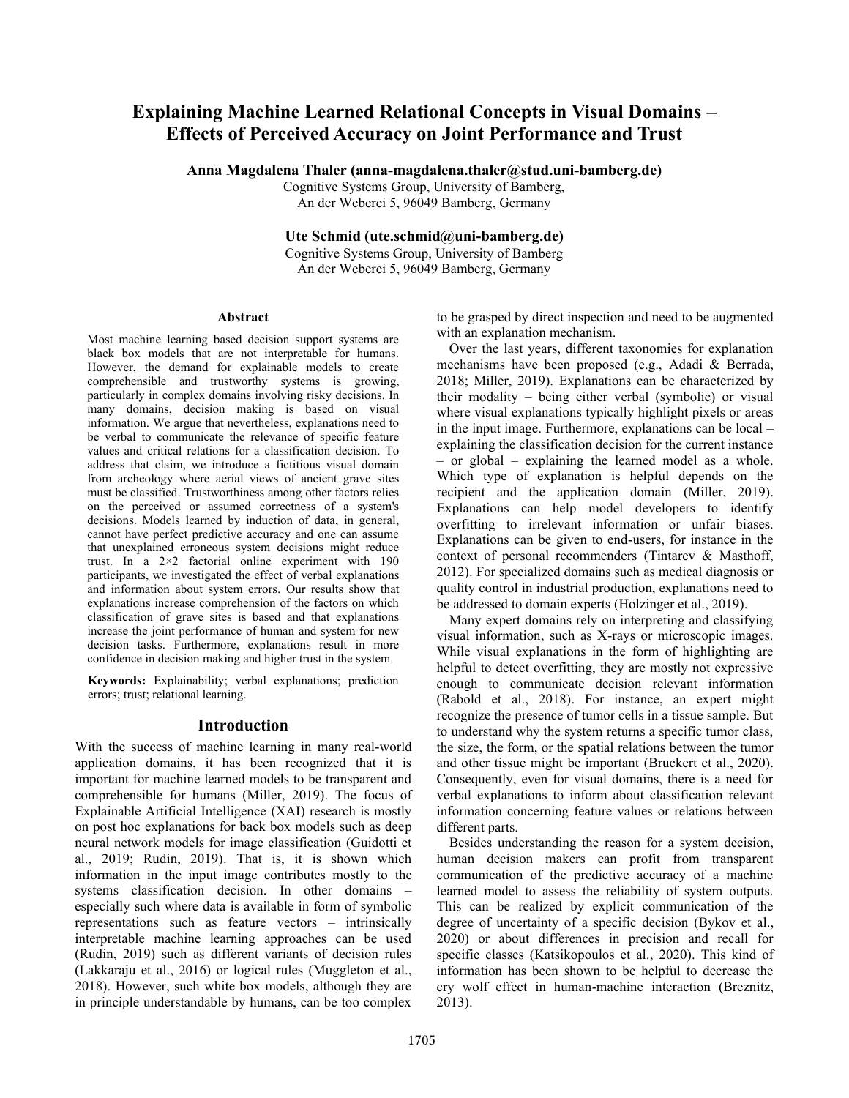# **Explaining Machine Learned Relational Concepts in Visual Domains – Effects of Perceived Accuracy on Joint Performance and Trust**

**Anna Magdalena Thaler (anna-magdalena.thaler@stud.uni-bamberg.de)**

Cognitive Systems Group, University of Bamberg, An der Weberei 5, 96049 Bamberg, Germany

**Ute Schmid (ute.schmid@uni-bamberg.de)**

Cognitive Systems Group, University of Bamberg An der Weberei 5, 96049 Bamberg, Germany

### **Abstract**

Most machine learning based decision support systems are black box models that are not interpretable for humans. However, the demand for explainable models to create comprehensible and trustworthy systems is growing, particularly in complex domains involving risky decisions. In many domains, decision making is based on visual information. We argue that nevertheless, explanations need to be verbal to communicate the relevance of specific feature values and critical relations for a classification decision. To address that claim, we introduce a fictitious visual domain from archeology where aerial views of ancient grave sites must be classified. Trustworthiness among other factors relies on the perceived or assumed correctness of a system's decisions. Models learned by induction of data, in general, cannot have perfect predictive accuracy and one can assume that unexplained erroneous system decisions might reduce trust. In a 2×2 factorial online experiment with 190 participants, we investigated the effect of verbal explanations and information about system errors. Our results show that explanations increase comprehension of the factors on which classification of grave sites is based and that explanations increase the joint performance of human and system for new decision tasks. Furthermore, explanations result in more confidence in decision making and higher trust in the system.

**Keywords:** Explainability; verbal explanations; prediction errors; trust; relational learning.

## **Introduction**

With the success of machine learning in many real-world application domains, it has been recognized that it is important for machine learned models to be transparent and comprehensible for humans (Miller, 2019). The focus of Explainable Artificial Intelligence (XAI) research is mostly on post hoc explanations for back box models such as deep neural network models for image classification (Guidotti et al., 2019; Rudin, 2019). That is, it is shown which information in the input image contributes mostly to the systems classification decision. In other domains – especially such where data is available in form of symbolic representations such as feature vectors – intrinsically interpretable machine learning approaches can be used (Rudin, 2019) such as different variants of decision rules (Lakkaraju et al., 2016) or logical rules (Muggleton et al., 2018). However, such white box models, although they are in principle understandable by humans, can be too complex

to be grasped by direct inspection and need to be augmented with an explanation mechanism.

Over the last years, different taxonomies for explanation mechanisms have been proposed (e.g., Adadi & Berrada, 2018; Miller, 2019). Explanations can be characterized by their modality – being either verbal (symbolic) or visual where visual explanations typically highlight pixels or areas in the input image. Furthermore, explanations can be local – explaining the classification decision for the current instance – or global – explaining the learned model as a whole. Which type of explanation is helpful depends on the recipient and the application domain (Miller, 2019). Explanations can help model developers to identify overfitting to irrelevant information or unfair biases. Explanations can be given to end-users, for instance in the context of personal recommenders (Tintarev & Masthoff, 2012). For specialized domains such as medical diagnosis or quality control in industrial production, explanations need to be addressed to domain experts (Holzinger et al., 2019).

Many expert domains rely on interpreting and classifying visual information, such as X-rays or microscopic images. While visual explanations in the form of highlighting are helpful to detect overfitting, they are mostly not expressive enough to communicate decision relevant information (Rabold et al., 2018). For instance, an expert might recognize the presence of tumor cells in a tissue sample. But to understand why the system returns a specific tumor class, the size, the form, or the spatial relations between the tumor and other tissue might be important (Bruckert et al., 2020). Consequently, even for visual domains, there is a need for verbal explanations to inform about classification relevant information concerning feature values or relations between different parts.

Besides understanding the reason for a system decision, human decision makers can profit from transparent communication of the predictive accuracy of a machine learned model to assess the reliability of system outputs. This can be realized by explicit communication of the degree of uncertainty of a specific decision (Bykov et al., 2020) or about differences in precision and recall for specific classes (Katsikopoulos et al., 2020). This kind of information has been shown to be helpful to decrease the cry wolf effect in human-machine interaction (Breznitz, 2013).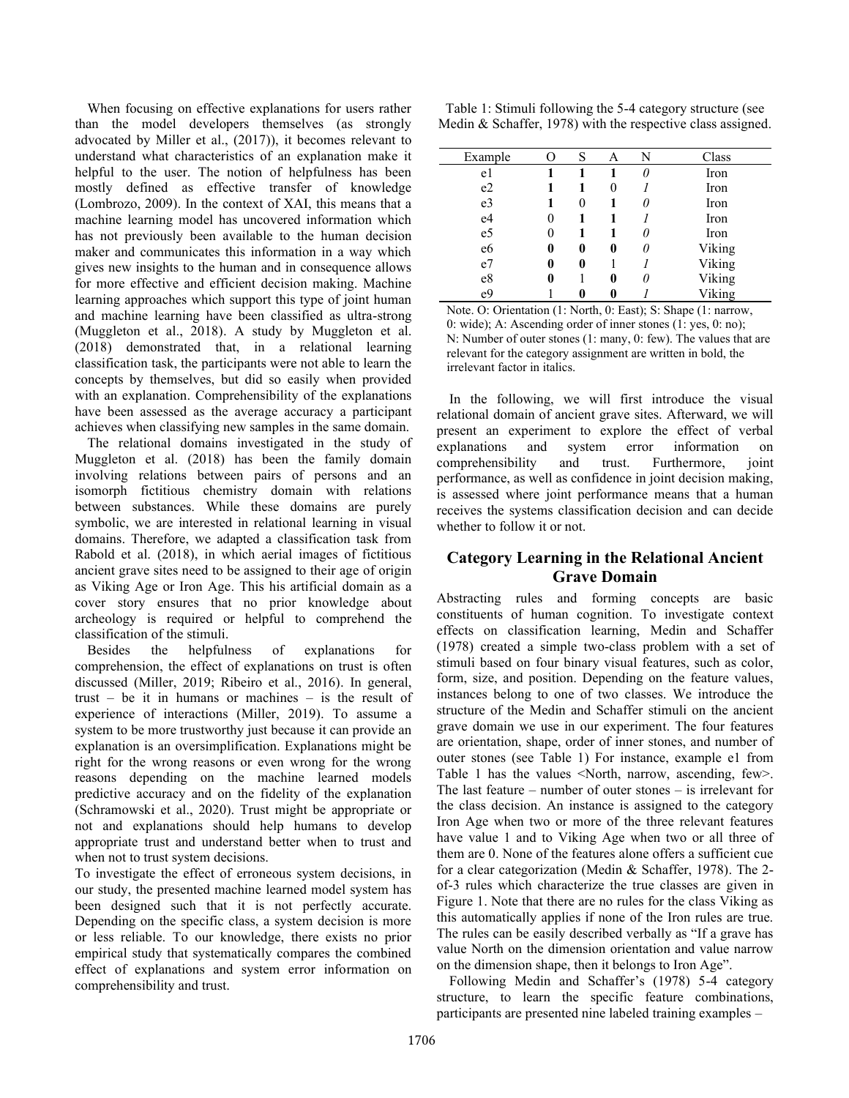When focusing on effective explanations for users rather than the model developers themselves (as strongly advocated by Miller et al., (2017)), it becomes relevant to understand what characteristics of an explanation make it helpful to the user. The notion of helpfulness has been mostly defined as effective transfer of knowledge (Lombrozo, 2009). In the context of XAI, this means that a machine learning model has uncovered information which has not previously been available to the human decision maker and communicates this information in a way which gives new insights to the human and in consequence allows for more effective and efficient decision making. Machine learning approaches which support this type of joint human and machine learning have been classified as ultra-strong (Muggleton et al., 2018). A study by Muggleton et al. (2018) demonstrated that, in a relational learning classification task, the participants were not able to learn the concepts by themselves, but did so easily when provided with an explanation. Comprehensibility of the explanations have been assessed as the average accuracy a participant achieves when classifying new samples in the same domain.

The relational domains investigated in the study of Muggleton et al. (2018) has been the family domain involving relations between pairs of persons and an isomorph fictitious chemistry domain with relations between substances. While these domains are purely symbolic, we are interested in relational learning in visual domains. Therefore, we adapted a classification task from Rabold et al. (2018), in which aerial images of fictitious ancient grave sites need to be assigned to their age of origin as Viking Age or Iron Age. This his artificial domain as a cover story ensures that no prior knowledge about archeology is required or helpful to comprehend the classification of the stimuli.

Besides the helpfulness of explanations for comprehension, the effect of explanations on trust is often discussed (Miller, 2019; Ribeiro et al., 2016). In general, trust – be it in humans or machines – is the result of experience of interactions (Miller, 2019). To assume a system to be more trustworthy just because it can provide an explanation is an oversimplification. Explanations might be right for the wrong reasons or even wrong for the wrong reasons depending on the machine learned models predictive accuracy and on the fidelity of the explanation (Schramowski et al., 2020). Trust might be appropriate or not and explanations should help humans to develop appropriate trust and understand better when to trust and when not to trust system decisions.

To investigate the effect of erroneous system decisions, in our study, the presented machine learned model system has been designed such that it is not perfectly accurate. Depending on the specific class, a system decision is more or less reliable. To our knowledge, there exists no prior empirical study that systematically compares the combined effect of explanations and system error information on comprehensibility and trust.

<span id="page-1-0"></span>Table 1: Stimuli following the 5-4 category structure (see Medin & Schaffer, 1978) with the respective class assigned.

| Example        |   | S | Α | N  | Class  |
|----------------|---|---|---|----|--------|
| e1             |   |   |   | 0  | Iron   |
| e2             |   |   |   |    | Iron   |
| e <sub>3</sub> |   | 0 |   |    | Iron   |
| e4             | 0 |   |   |    | Iron   |
| e <sub>5</sub> | 0 |   |   |    | Iron   |
| e <sub>6</sub> | 0 | 0 | 0 | I) | Viking |
| e <sub>7</sub> | 0 | 0 |   |    | Viking |
| e8             | 0 |   | 0 | 0  | Viking |
| e <sub>9</sub> |   |   |   |    | Viking |

Note. O: Orientation (1: North, 0: East); S: Shape (1: narrow, 0: wide); A: Ascending order of inner stones (1: yes, 0: no); N: Number of outer stones (1: many, 0: few). The values that are relevant for the category assignment are written in bold, the irrelevant factor in italics.

In the following, we will first introduce the visual relational domain of ancient grave sites. Afterward, we will present an experiment to explore the effect of verbal explanations and system error information on comprehensibility and trust. Furthermore, joint performance, as well as confidence in joint decision making, is assessed where joint performance means that a human receives the systems classification decision and can decide whether to follow it or not.

# **Category Learning in the Relational Ancient Grave Domain**

Abstracting rules and forming concepts are basic constituents of human cognition. To investigate context effects on classification learning, Medin and Schaffer (1978) created a simple two-class problem with a set of stimuli based on four binary visual features, such as color, form, size, and position. Depending on the feature values, instances belong to one of two classes. We introduce the structure of the Medin and Schaffer stimuli on the ancient grave domain we use in our experiment. The four features are orientation, shape, order of inner stones, and number of outer stones (see [Table 1\)](#page-1-0) For instance, example e1 from [Table 1](#page-1-0) has the values <North, narrow, ascending, few>. The last feature – number of outer stones – is irrelevant for the class decision. An instance is assigned to the category Iron Age when two or more of the three relevant features have value 1 and to Viking Age when two or all three of them are 0. None of the features alone offers a sufficient cue for a clear categorization (Medin & Schaffer, 1978). The 2 of-3 rules which characterize the true classes are given in [Figure 1.](#page-2-0) Note that there are no rules for the class Viking as this automatically applies if none of the Iron rules are true. The rules can be easily described verbally as "If a grave has value North on the dimension orientation and value narrow on the dimension shape, then it belongs to Iron Age".

Following Medin and Schaffer's (1978) 5-4 category structure, to learn the specific feature combinations, participants are presented nine labeled training examples –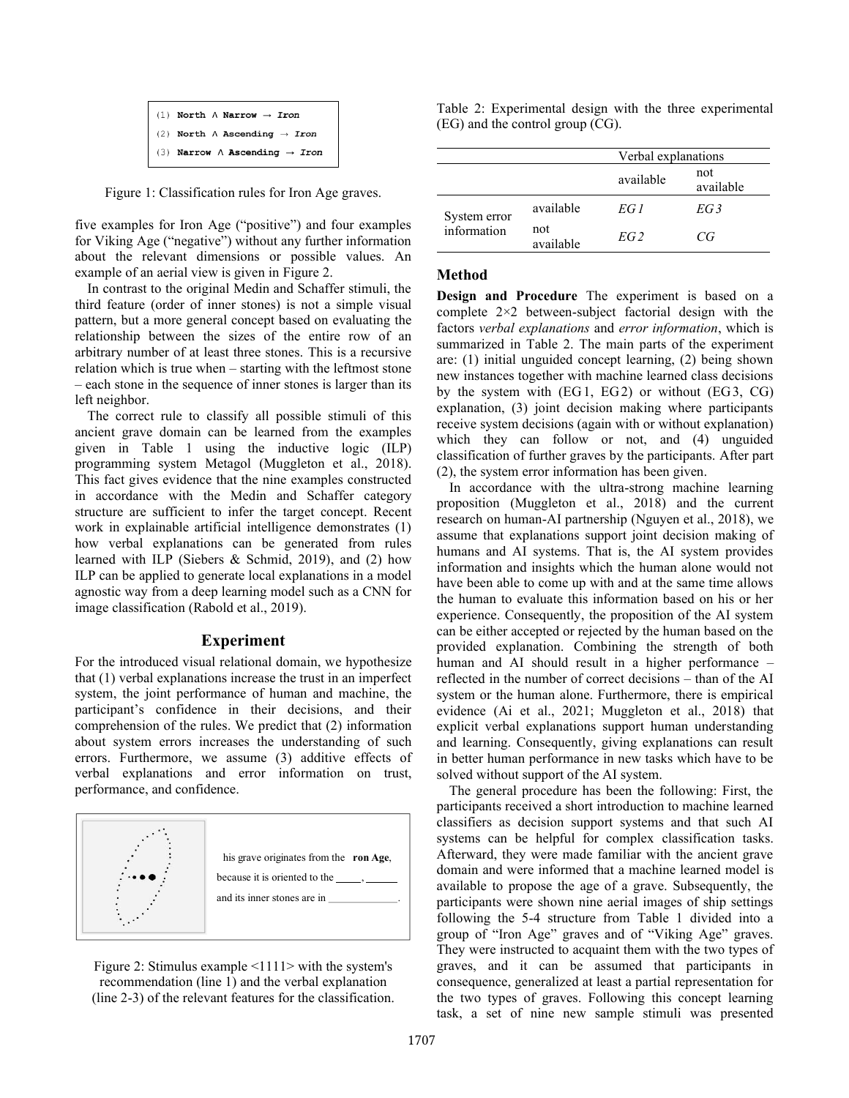```
(1) North \land Narrow \rightarrow Iron
(2) North \land Ascending \rightarrow Iron
(3) Narrow \land Ascending \rightarrow Iron
```
<span id="page-2-0"></span>Figure 1: Classification rules for Iron Age graves.

five examples for Iron Age ("positive") and four examples for Viking Age ("negative") without any further information about the relevant dimensions or possible values. An example of an aerial view is given in [Figure 2.](#page-2-1)

In contrast to the original Medin and Schaffer stimuli, the third feature (order of inner stones) is not a simple visual pattern, but a more general concept based on evaluating the relationship between the sizes of the entire row of an arbitrary number of at least three stones. This is a recursive relation which is true when – starting with the leftmost stone – each stone in the sequence of inner stones is larger than its left neighbor.

The correct rule to classify all possible stimuli of this ancient grave domain can be learned from the examples given in [Table 1](#page-1-0) using the inductive logic (ILP) programming system Metagol (Muggleton et al., 2018). This fact gives evidence that the nine examples constructed in accordance with the Medin and Schaffer category structure are sufficient to infer the target concept. Recent work in explainable artificial intelligence demonstrates (1) how verbal explanations can be generated from rules learned with ILP (Siebers & Schmid, 2019), and (2) how ILP can be applied to generate local explanations in a model agnostic way from a deep learning model such as a CNN for image classification (Rabold et al., 2019).

## **Experiment**

For the introduced visual relational domain, we hypothesize that (1) verbal explanations increase the trust in an imperfect system, the joint performance of human and machine, the participant's confidence in their decisions, and their comprehension of the rules. We predict that (2) information about system errors increases the understanding of such errors. Furthermore, we assume (3) additive effects of verbal explanations and error information on trust, performance, and confidence.



<span id="page-2-1"></span>Figure 2: Stimulus example <1111> with the system's recommendation (line 1) and the verbal explanation (line 2-3) of the relevant features for the classification.

<span id="page-2-2"></span>Table 2: Experimental design with the three experimental (EG) and the control group (CG).

|                             |                  | Verbal explanations |                  |  |
|-----------------------------|------------------|---------------------|------------------|--|
|                             |                  | available           | not<br>available |  |
| System error<br>information | available        | EG 1                | EG <sub>3</sub>  |  |
|                             | not<br>available | EG <sub>2</sub>     | CG               |  |

## **Method**

**Design and Procedure** The experiment is based on a complete 2×2 between-subject factorial design with the factors *verbal explanations* and *error information*, which is summarized in [Table 2.](#page-2-2) The main parts of the experiment are: (1) initial unguided concept learning, (2) being shown new instances together with machine learned class decisions by the system with (EG1, EG2) or without (EG3, CG) explanation, (3) joint decision making where participants receive system decisions (again with or without explanation) which they can follow or not, and (4) unguided classification of further graves by the participants. After part (2), the system error information has been given.

In accordance with the ultra-strong machine learning proposition (Muggleton et al., 2018) and the current research on human-AI partnership (Nguyen et al., 2018), we assume that explanations support joint decision making of humans and AI systems. That is, the AI system provides information and insights which the human alone would not have been able to come up with and at the same time allows the human to evaluate this information based on his or her experience. Consequently, the proposition of the AI system can be either accepted or rejected by the human based on the provided explanation. Combining the strength of both human and AI should result in a higher performance – reflected in the number of correct decisions – than of the AI system or the human alone. Furthermore, there is empirical evidence (Ai et al., 2021; Muggleton et al., 2018) that explicit verbal explanations support human understanding and learning. Consequently, giving explanations can result in better human performance in new tasks which have to be solved without support of the AI system.

The general procedure has been the following: First, the participants received a short introduction to machine learned classifiers as decision support systems and that such AI systems can be helpful for complex classification tasks. Afterward, they were made familiar with the ancient grave domain and were informed that a machine learned model is available to propose the age of a grave. Subsequently, the participants were shown nine aerial images of ship settings following the 5-4 structure from [Table 1](#page-1-0) divided into a group of "Iron Age" graves and of "Viking Age" graves. They were instructed to acquaint them with the two types of graves, and it can be assumed that participants in consequence, generalized at least a partial representation for the two types of graves. Following this concept learning task, a set of nine new sample stimuli was presented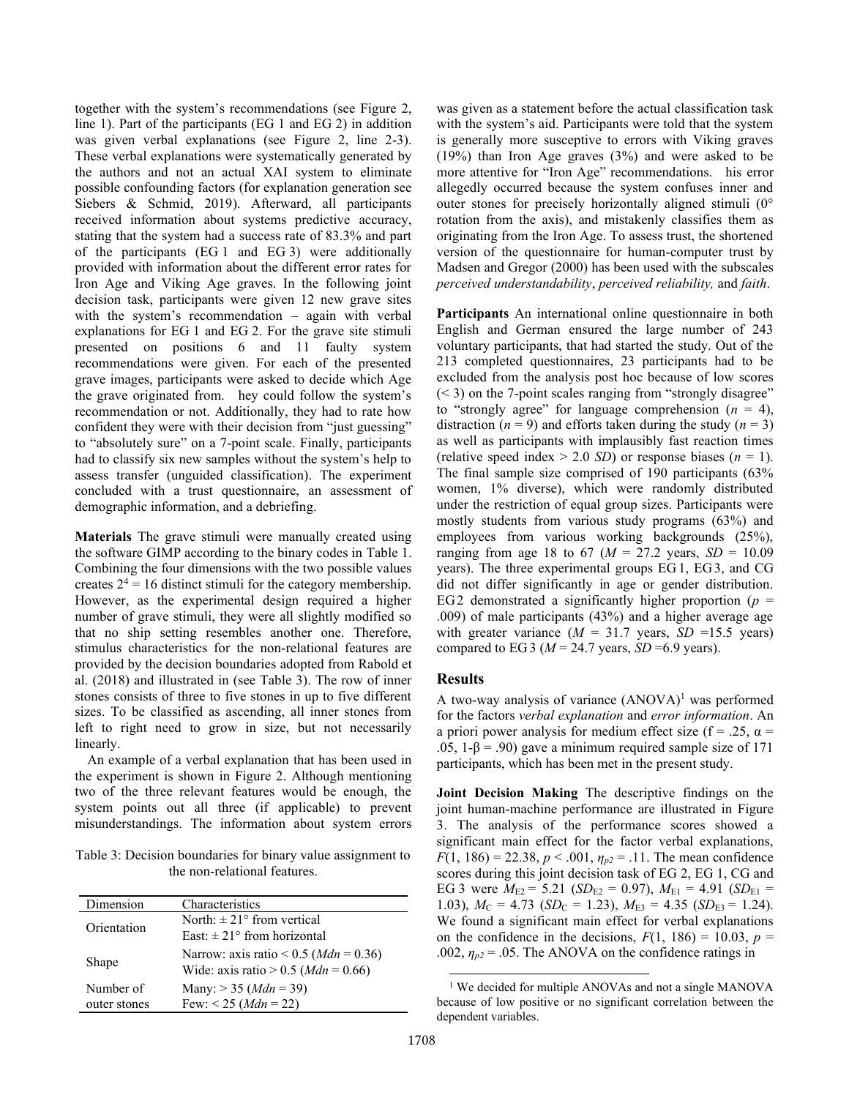together with the system's recommendations (see [Figure 2,](#page-2-1) line 1). Part of the participants (EG 1 and EG 2) in addition was given verbal explanations (see [Figure 2,](#page-2-1) line 2-3). These verbal explanations were systematically generated by the authors and not an actual XAI system to eliminate possible confounding factors (for explanation generation see Siebers & Schmid, 2019). Afterward, all participants received information about systems predictive accuracy, stating that the system had a success rate of 83.3% and part of the participants (EG 1 and EG 3) were additionally provided with information about the different error rates for Iron Age and Viking Age graves. In the following joint decision task, participants were given 12 new grave sites with the system's recommendation – again with verbal explanations for EG 1 and EG 2. For the grave site stimuli presented on positions 6 and 11 faulty system recommendations were given. For each of the presented grave images, participants were asked to decide which Age the grave originated from. hey could follow the system's recommendation or not. Additionally, they had to rate how confident they were with their decision from "just guessing" to "absolutely sure" on a 7-point scale. Finally, participants had to classify six new samples without the system's help to assess transfer (unguided classification). The experiment concluded with a trust questionnaire, an assessment of demographic information, and a debriefing.

**Materials** The grave stimuli were manually created using the software GIMP according to the binary codes in [Table 1.](#page-1-0) Combining the four dimensions with the two possible values creates  $2^4$  = 16 distinct stimuli for the category membership. However, as the experimental design required a higher number of grave stimuli, they were all slightly modified so that no ship setting resembles another one. Therefore, stimulus characteristics for the non-relational features are provided by the decision boundaries adopted from Rabold et al. (2018) and illustrated in (see [Table 3\)](#page-3-0). The row of inner stones consists of three to five stones in up to five different sizes. To be classified as ascending, all inner stones from left to right need to grow in size, but not necessarily linearly.

An example of a verbal explanation that has been used in the experiment is shown in [Figure 2.](#page-2-1) Although mentioning two of the three relevant features would be enough, the system points out all three (if applicable) to prevent misunderstandings. The information about system errors

<span id="page-3-0"></span>Table 3: Decision boundaries for binary value assignment to the non-relational features.

| Dimension    | Characteristics                                                                            |  |  |
|--------------|--------------------------------------------------------------------------------------------|--|--|
| Orientation  | North: $\pm$ 21° from vertical                                                             |  |  |
|              | East: $\pm$ 21° from horizontal                                                            |  |  |
| Shape        | Narrow: axis ratio < $0.5$ ( <i>Mdn</i> = 0.36)<br>Wide: axis ratio > 0.5 ( $Mdn = 0.66$ ) |  |  |
| Number of    | Many: $>$ 35 ( <i>Mdn</i> = 39)                                                            |  |  |
| outer stones | Few: $< 25 (Mdn = 22)$                                                                     |  |  |

was given as a statement before the actual classification task with the system's aid. Participants were told that the system is generally more susceptive to errors with Viking graves (19%) than Iron Age graves (3%) and were asked to be more attentive for "Iron Age" recommendations. his error allegedly occurred because the system confuses inner and outer stones for precisely horizontally aligned stimuli (0° rotation from the axis), and mistakenly classifies them as originating from the Iron Age. To assess trust, the shortened version of the questionnaire for human-computer trust by Madsen and Gregor (2000) has been used with the subscales *perceived understandability*, *perceived reliability,* and *faith*.

**Participants** An international online questionnaire in both English and German ensured the large number of 243 voluntary participants, that had started the study. Out of the 213 completed questionnaires, 23 participants had to be excluded from the analysis post hoc because of low scores  $(< 3$ ) on the 7-point scales ranging from "strongly disagree" to "strongly agree" for language comprehension  $(n = 4)$ , distraction ( $n = 9$ ) and efforts taken during the study ( $n = 3$ ) as well as participants with implausibly fast reaction times (relative speed index  $> 2.0$  *SD*) or response biases ( $n = 1$ ). The final sample size comprised of 190 participants (63% women, 1% diverse), which were randomly distributed under the restriction of equal group sizes. Participants were mostly students from various study programs (63%) and employees from various working backgrounds (25%), ranging from age 18 to 67 ( $M = 27.2$  years,  $SD = 10.09$ years). The three experimental groups EG 1, EG3, and CG did not differ significantly in age or gender distribution. EG2 demonstrated a significantly higher proportion ( $p =$ .009) of male participants (43%) and a higher average age with greater variance  $(M = 31.7 \text{ years}, SD = 15.5 \text{ years})$ compared to EG3 ( $M = 24.7$  years, *SD* = 6.9 years).

# **Results**

A two-way analysis of variance  $(ANOVA)^1$  was performed for the factors *verbal explanation* and *error information*. An a priori power analysis for medium effect size (f = .25,  $\alpha$  = .05, 1-β = .90) gave a minimum required sample size of 171 participants, which has been met in the present study.

**Joint Decision Making** The descriptive findings on the joint human-machine performance are illustrated in Figure 3. The analysis of the performance scores showed a significant main effect for the factor verbal explanations, *F*(1, 186) = 22.38,  $p < .001$ ,  $\eta_{p2} = .11$ . The mean confidence scores during this joint decision task of EG 2, EG 1, CG and EG 3 were  $M_{E2} = 5.21$  (*SD*<sub>E2</sub> = 0.97),  $M_{E1} = 4.91$  (*SD*<sub>E1</sub> = 1.03),  $M_C = 4.73$  (*SD<sub>C</sub>* = 1.23),  $M_{E3} = 4.35$  (*SD<sub>E3</sub>* = 1.24). We found a significant main effect for verbal explanations on the confidence in the decisions,  $F(1, 186) = 10.03$ ,  $p =$ .002,  $\eta_{p2}$  = .05. The ANOVA on the confidence ratings in

<sup>&</sup>lt;sup>1</sup> We decided for multiple ANOVAs and not a single MANOVA because of low positive or no significant correlation between the dependent variables.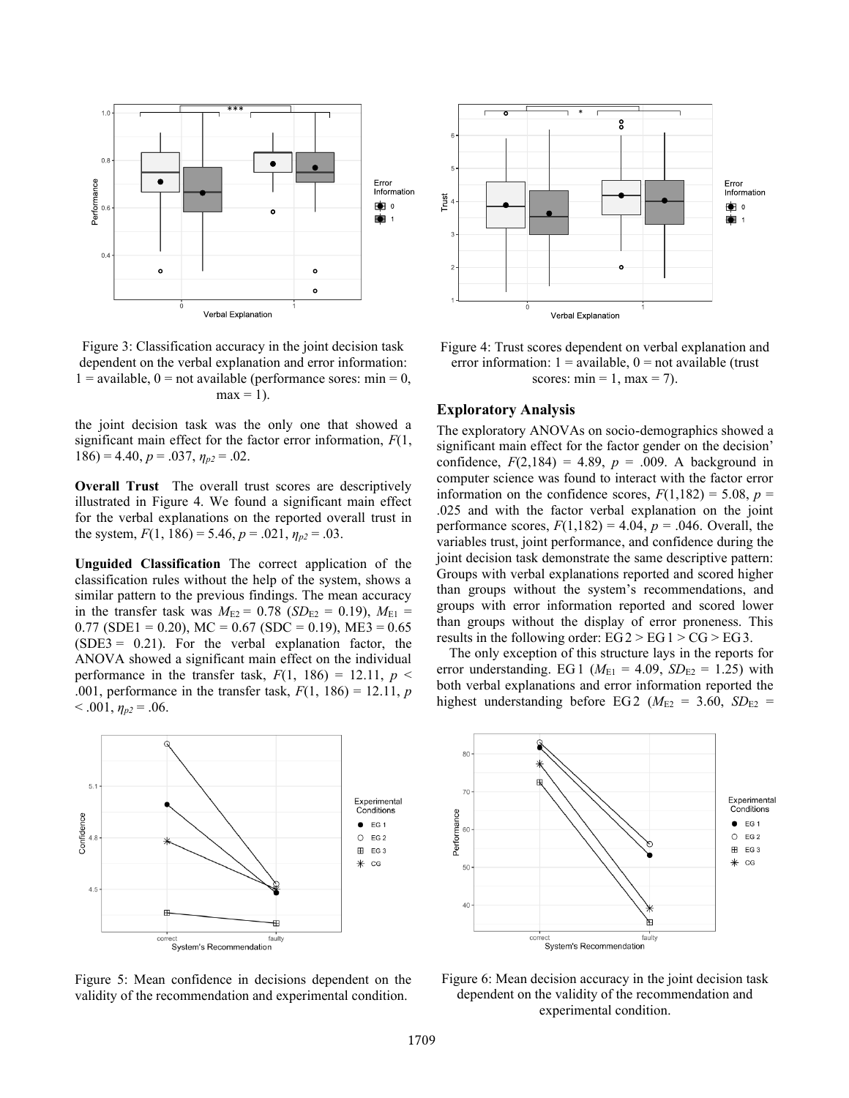

Figure 3: Classification accuracy in the joint decision task dependent on the verbal explanation and error information:  $1 =$  available,  $0 =$  not available (performance sores: min = 0,  $max = 1$ ).

the joint decision task was the only one that showed a significant main effect for the factor error information, *F*(1,  $186$ ) = 4.40,  $p = .037$ ,  $\eta_{p2} = .02$ .

**Overall Trust** The overall trust scores are descriptively illustrated in Figure 4. We found a significant main effect for the verbal explanations on the reported overall trust in the system,  $F(1, 186) = 5.46$ ,  $p = .021$ ,  $\eta_{p2} = .03$ .

**Unguided Classification** The correct application of the classification rules without the help of the system, shows a similar pattern to the previous findings. The mean accuracy in the transfer task was  $M_{E2} = 0.78$  (*SD*<sub>E2</sub> = 0.19),  $M_{E1} =$  $0.77$  (SDE1 = 0.20), MC = 0.67 (SDC = 0.19), ME3 = 0.65  $(SDE3 = 0.21)$ . For the verbal explanation factor, the ANOVA showed a significant main effect on the individual performance in the transfer task,  $F(1, 186) = 12.11$ ,  $p \le$ .001, performance in the transfer task, *F*(1, 186) = 12.11, *p*  $< .001, \eta_{p2} = .06.$ 



<span id="page-4-0"></span>Figure 5: Mean confidence in decisions dependent on the validity of the recommendation and experimental condition.



Figure 4: Trust scores dependent on verbal explanation and error information:  $1 =$  available,  $0 =$  not available (trust scores:  $min = 1, max = 7$ .

### **Exploratory Analysis**

The exploratory ANOVAs on socio-demographics showed a significant main effect for the factor gender on the decision' confidence,  $F(2,184) = 4.89$ ,  $p = .009$ . A background in computer science was found to interact with the factor error information on the confidence scores,  $F(1,182) = 5.08$ ,  $p =$ .025 and with the factor verbal explanation on the joint performance scores,  $F(1,182) = 4.04$ ,  $p = .046$ . Overall, the variables trust, joint performance, and confidence during the joint decision task demonstrate the same descriptive pattern: Groups with verbal explanations reported and scored higher than groups without the system's recommendations, and groups with error information reported and scored lower than groups without the display of error proneness. This results in the following order:  $EG2 > EG1 > CG > EG3$ .

The only exception of this structure lays in the reports for error understanding. EG1 ( $M_{E1} = 4.09$ ,  $SD_{E2} = 1.25$ ) with both verbal explanations and error information reported the highest understanding before EG2 ( $M_{E2}$  = 3.60,  $SD_{E2}$  =



Figure 6: Mean decision accuracy in the joint decision task dependent on the validity of the recommendation and experimental condition.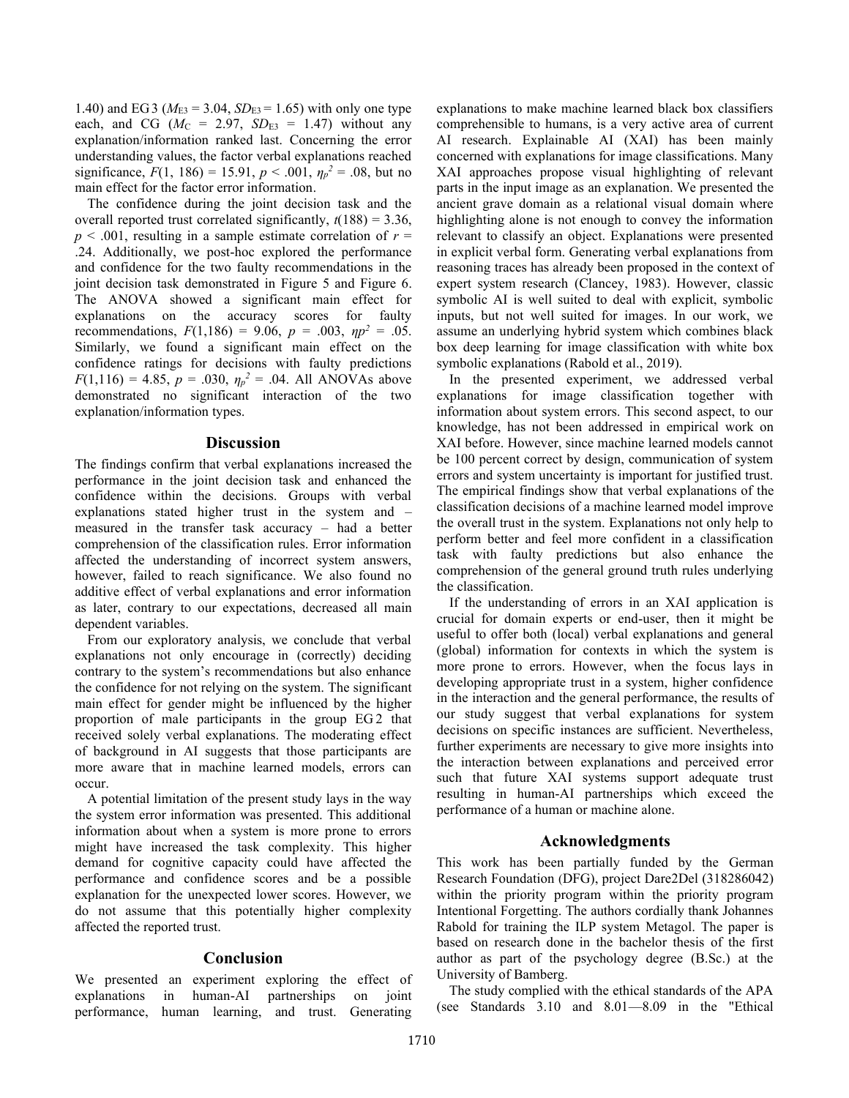1.40) and EG3 ( $M_{E3} = 3.04$ ,  $SD_{E3} = 1.65$ ) with only one type each, and CG ( $M_C = 2.97$ ,  $SD_{E3} = 1.47$ ) without any explanation/information ranked last. Concerning the error understanding values, the factor verbal explanations reached significance,  $F(1, 186) = 15.91$ ,  $p < .001$ ,  $\eta_p^2 = .08$ , but no main effect for the factor error information.

The confidence during the joint decision task and the overall reported trust correlated significantly,  $t(188) = 3.36$ ,  $p < .001$ , resulting in a sample estimate correlation of  $r =$ .24. Additionally, we post-hoc explored the performance and confidence for the two faulty recommendations in the joint decision task demonstrated in [Figure](#page-4-0) 5 and Figure 6. The ANOVA showed a significant main effect for explanations on the accuracy scores for faulty recommendations,  $F(1,186) = 9.06$ ,  $p = .003$ ,  $np^2 = .05$ . Similarly, we found a significant main effect on the confidence ratings for decisions with faulty predictions *F*(1,116) = 4.85, *p* = .030,  $\eta_p^2$  = .04. All ANOVAs above demonstrated no significant interaction of the two explanation/information types.

### **Discussion**

The findings confirm that verbal explanations increased the performance in the joint decision task and enhanced the confidence within the decisions. Groups with verbal explanations stated higher trust in the system and – measured in the transfer task accuracy – had a better comprehension of the classification rules. Error information affected the understanding of incorrect system answers, however, failed to reach significance. We also found no additive effect of verbal explanations and error information as later, contrary to our expectations, decreased all main dependent variables.

From our exploratory analysis, we conclude that verbal explanations not only encourage in (correctly) deciding contrary to the system's recommendations but also enhance the confidence for not relying on the system. The significant main effect for gender might be influenced by the higher proportion of male participants in the group EG 2 that received solely verbal explanations. The moderating effect of background in AI suggests that those participants are more aware that in machine learned models, errors can occur.

A potential limitation of the present study lays in the way the system error information was presented. This additional information about when a system is more prone to errors might have increased the task complexity. This higher demand for cognitive capacity could have affected the performance and confidence scores and be a possible explanation for the unexpected lower scores. However, we do not assume that this potentially higher complexity affected the reported trust.

### **Conclusion**

We presented an experiment exploring the effect of explanations in human-AI partnerships on joint performance, human learning, and trust. Generating explanations to make machine learned black box classifiers comprehensible to humans, is a very active area of current AI research. Explainable AI (XAI) has been mainly concerned with explanations for image classifications. Many XAI approaches propose visual highlighting of relevant parts in the input image as an explanation. We presented the ancient grave domain as a relational visual domain where highlighting alone is not enough to convey the information relevant to classify an object. Explanations were presented in explicit verbal form. Generating verbal explanations from reasoning traces has already been proposed in the context of expert system research (Clancey, 1983). However, classic symbolic AI is well suited to deal with explicit, symbolic inputs, but not well suited for images. In our work, we assume an underlying hybrid system which combines black box deep learning for image classification with white box symbolic explanations (Rabold et al., 2019).

In the presented experiment, we addressed verbal explanations for image classification together with information about system errors. This second aspect, to our knowledge, has not been addressed in empirical work on XAI before. However, since machine learned models cannot be 100 percent correct by design, communication of system errors and system uncertainty is important for justified trust. The empirical findings show that verbal explanations of the classification decisions of a machine learned model improve the overall trust in the system. Explanations not only help to perform better and feel more confident in a classification task with faulty predictions but also enhance the comprehension of the general ground truth rules underlying the classification.

If the understanding of errors in an XAI application is crucial for domain experts or end-user, then it might be useful to offer both (local) verbal explanations and general (global) information for contexts in which the system is more prone to errors. However, when the focus lays in developing appropriate trust in a system, higher confidence in the interaction and the general performance, the results of our study suggest that verbal explanations for system decisions on specific instances are sufficient. Nevertheless, further experiments are necessary to give more insights into the interaction between explanations and perceived error such that future XAI systems support adequate trust resulting in human-AI partnerships which exceed the performance of a human or machine alone.

### **Acknowledgments**

This work has been partially funded by the German Research Foundation (DFG), project Dare2Del (318286042) within the priority program within the priority program Intentional Forgetting. The authors cordially thank Johannes Rabold for training the ILP system Metagol. The paper is based on research done in the bachelor thesis of the first author as part of the psychology degree (B.Sc.) at the University of Bamberg.

The study complied with the ethical standards of the APA (see Standards 3.10 and 8.01—8.09 in the "Ethical